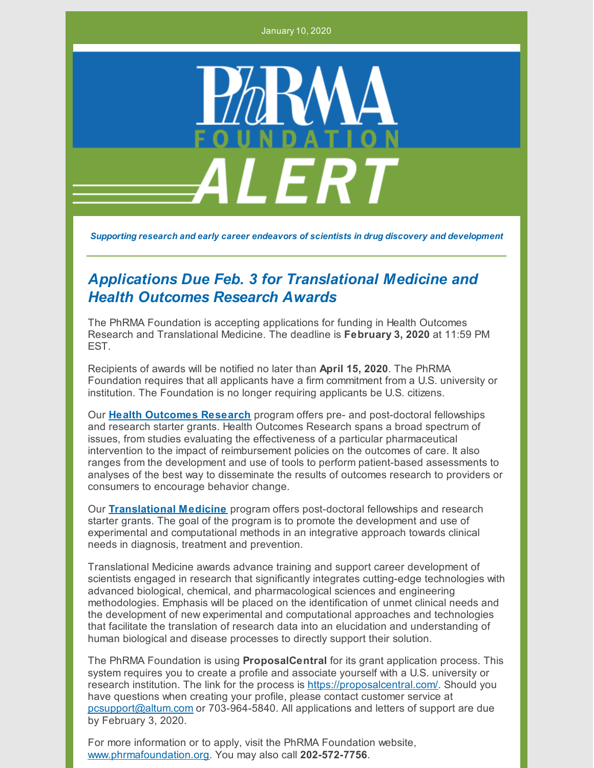January 10, 2020



*Supporting research and early career endeavors of scientists in drug discovery and development*

## *Applications Due Feb. 3 for Translational Medicine and Health Outcomes Research Awards*

The PhRMA Foundation is accepting applications for funding in Health Outcomes Research and Translational Medicine. The deadline is **February 3, 2020** at 11:59 PM **FST** 

Recipients of awards will be notified no later than **April 15, 2020**. The PhRMA Foundation requires that all applicants have a firm commitment from a U.S. university or institution. The Foundation is no longer requiring applicants be U.S. citizens.

Our **Health [Outcomes](http://www.phrmafoundation.org/wp-content/uploads/2019/12/Health-Outcomes-Research-2020-Brochure.pdf) Research** program offers pre- and post-doctoral fellowships and research starter grants. Health Outcomes Research spans a broad spectrum of issues, from studies evaluating the effectiveness of a particular pharmaceutical intervention to the impact of reimbursement policies on the outcomes of care. It also ranges from the development and use of tools to perform patient-based assessments to analyses of the best way to disseminate the results of outcomes research to providers or consumers to encourage behavior change.

Our **[Translational](http://www.phrmafoundation.org/wp-content/uploads/2019/12/Translational-Medicine-2020-Brochure.pdf) Medicine** program offers post-doctoral fellowships and research starter grants. The goal of the program is to promote the development and use of experimental and computational methods in an integrative approach towards clinical needs in diagnosis, treatment and prevention.

Translational Medicine awards advance training and support career development of scientists engaged in research that significantly integrates cutting-edge technologies with advanced biological, chemical, and pharmacological sciences and engineering methodologies. Emphasis will be placed on the identification of unmet clinical needs and the development of new experimental and computational approaches and technologies that facilitate the translation of research data into an elucidation and understanding of human biological and disease processes to directly support their solution.

The PhRMA Foundation is using **ProposalCentral** for its grant application process. This system requires you to create a profile and associate yourself with a U.S. university or research institution. The link for the process is <https://proposalcentral.com/>. Should you have questions when creating your profile, please contact customer service at [pcsupport@altum.com](mailto:pcsupport@altum.com) or 703-964-5840. All applications and letters of support are due by February 3, 2020.

For more information or to apply, visit the PhRMA Foundation website, [www.phrmafoundation.org](http://www.phrmafoundation.org/). You may also call **202-572-7756**.